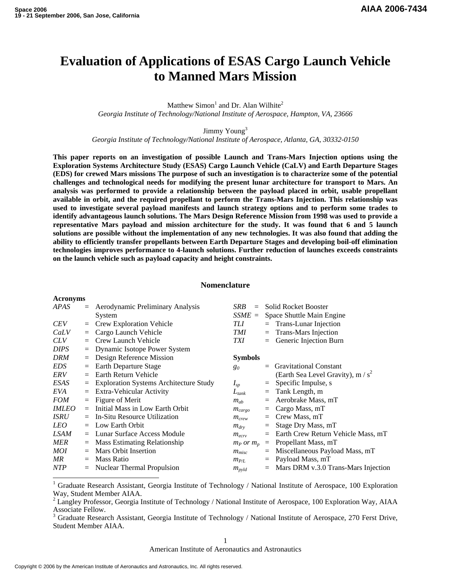# **Evaluation of Applications of ESAS Cargo Launch Vehicle to Manned Mars Mission**

Matthew  $Simon<sup>1</sup>$  and Dr. Alan Wilhite<sup>2</sup> *Georgia Institute of Technology/National Institute of Aerospace, Hampton, VA, 23666* 

Jimmy Young<sup>3</sup>

*Georgia Institute of Technology/National Institute of Aerospace, Atlanta, GA, 30332-0150* 

**This paper reports on an investigation of possible Launch and Trans-Mars Injection options using the Exploration Systems Architecture Study (ESAS) Cargo Launch Vehicle (CaLV) and Earth Departure Stages (EDS) for crewed Mars missions The purpose of such an investigation is to characterize some of the potential challenges and technological needs for modifying the present lunar architecture for transport to Mars. An analysis was performed to provide a relationship between the payload placed in orbit, usable propellant available in orbit, and the required propellant to perform the Trans-Mars Injection. This relationship was used to investigate several payload manifests and launch strategy options and to perform some trades to identify advantageous launch solutions. The Mars Design Reference Mission from 1998 was used to provide a representative Mars payload and mission architecture for the study. It was found that 6 and 5 launch solutions are possible without the implementation of any new technologies. It was also found that adding the ability to efficiently transfer propellants between Earth Departure Stages and developing boil-off elimination technologies improves performance to 4-launch solutions. Further reduction of launches exceeds constraints on the launch vehicle such as payload capacity and height constraints.** 

## **Nomenclature**

l

| APAS         |     | $=$ Aerodynamic Preliminary Analysis          | SRB<br>$=$          |                 | Solid Rocket Booster                    |
|--------------|-----|-----------------------------------------------|---------------------|-----------------|-----------------------------------------|
|              |     | System                                        | $SSME =$            |                 | Space Shuttle Main Engine               |
| <i>CEV</i>   | $=$ | <b>Crew Exploration Vehicle</b>               | TLI                 | $=$             | Trans-Lunar Injection                   |
| CaLV         |     | Cargo Launch Vehicle                          | TMI                 |                 | <b>Trans-Mars Injection</b>             |
| <i>CLV</i>   | $=$ | Crew Launch Vehicle                           | TXI                 |                 | Generic Injection Burn                  |
| <i>DIPS</i>  | $=$ | Dynamic Isotope Power System                  |                     |                 |                                         |
| DRM          | $=$ | Design Reference Mission                      | <b>Symbols</b>      |                 |                                         |
| EDS-         | $=$ | <b>Earth Departure Stage</b>                  | $g_0$               |                 | <b>Gravitational Constant</b>           |
| ERV          | $=$ | Earth Return Vehicle                          |                     |                 | (Earth Sea Level Gravity), $m/s^2$      |
| ESAS         | $=$ | <b>Exploration Systems Architecture Study</b> | $I_{sp}$            |                 | Specific Impulse, s                     |
| EVA          | $=$ | Extra-Vehicular Activity                      | $L_{\textit{tank}}$ |                 | Tank Length, m                          |
| <i>FOM</i>   | $=$ | Figure of Merit                               | $m_{ab}$            |                 | Aerobrake Mass, mT                      |
| <b>IMLEO</b> | $=$ | Initial Mass in Low Earth Orbit               | $m_{cargo}$         |                 | Cargo Mass, mT                          |
| ISRU         |     | $=$ In-Situ Resource Utilization              | $m_{\text{crew}}$   |                 | Crew Mass, mT                           |
| <i>LEO</i>   | $=$ | Low Earth Orbit                               | $m_{\text{d}rv}$    | $=$             | Stage Dry Mass, mT                      |
| LSAM         | $=$ | Lunar Surface Access Module                   | $m_{ecrv}$          |                 | Earth Crew Return Vehicle Mass, mT      |
| MER          |     | Mass Estimating Relationship                  | $m_P$ or $m_p$      | $\quad \  \  =$ | Propellant Mass, mT                     |
| MOI          | $=$ | Mars Orbit Insertion                          | $m_{misc}$          |                 | Miscellaneous Payload Mass, mT          |
| MR           | $=$ | <b>Mass Ratio</b>                             | $m_{P/L}$           |                 | Payload Mass, mT                        |
| <b>NTP</b>   | $=$ | Nuclear Thermal Propulsion                    | $m_{pyld}$          |                 | $=$ Mars DRM v.3.0 Trans-Mars Injection |

1 Graduate Research Assistant, Georgia Institute of Technology / National Institute of Aerospace, 100 Exploration Way, Student Member AIAA.

 $2^{2}$  Langley Professor, Georgia Institute of Technology / National Institute of Aerospace, 100 Exploration Way, AIAA Associate Fellow.<br><sup>3</sup> Graduate Research Assistant, Georgia Institute of Technology / National Institute of Aerospace, 270 Ferst Drive,

Student Member AIAA.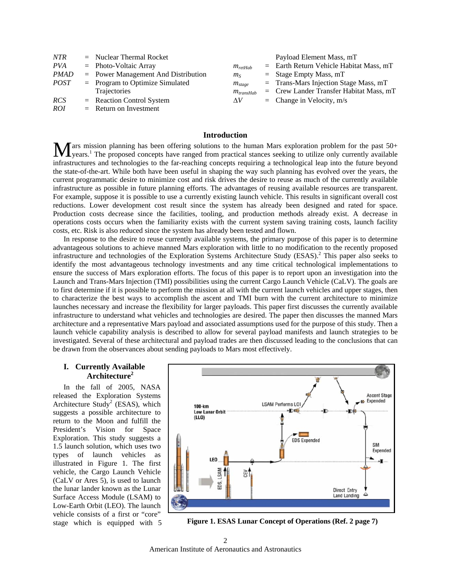| NTR         | $=$ Nuclear Thermal Rocket            |                     | Payload Element Mass, mT                  |
|-------------|---------------------------------------|---------------------|-------------------------------------------|
| <i>PVA</i>  | $=$ Photo-Voltaic Array               | $m_{re\ddot{t}Hab}$ | $=$ Earth Return Vehicle Habitat Mass, mT |
| <b>PMAD</b> | $=$ Power Management And Distribution | $m_S$               | $=$ Stage Empty Mass, mT                  |
| <i>POST</i> | $=$ Program to Optimize Simulated     | $m_{stage}$         | $=$ Trans-Mars Injection Stage Mass, mT   |
|             | <b>Trajectories</b>                   | $m_{transHab}$      | $=$ Crew Lander Transfer Habitat Mass, mT |
| RCS         | $=$ Reaction Control System           | $\Delta V$          | $=$ Change in Velocity, m/s               |
| <i>ROI</i>  | $=$ Return on Investment              |                     |                                           |

# **Introduction**

ars mission planning has been offering solutions to the human Mars exploration problem for the past 50+ years.<sup>1</sup> The proposed concepts have ranged from practical stances seeking to utilize only currently available **M**ars mission planning has been offering solutions to the human Mars exploration problem for the past 50+ years.<sup>1</sup> The proposed concepts have ranged from practical stances seeking to utilize only currently available infr the state-of-the-art. While both have been useful in shaping the way such planning has evolved over the years, the current programmatic desire to minimize cost and risk drives the desire to reuse as much of the currently available infrastructure as possible in future planning efforts. The advantages of reusing available resources are transparent. For example, suppose it is possible to use a currently existing launch vehicle. This results in significant overall cost reductions. Lower development cost result since the system has already been designed and rated for space. Production costs decrease since the facilities, tooling, and production methods already exist. A decrease in operations costs occurs when the familiarity exists with the current system saving training costs, launch facility costs, etc. Risk is also reduced since the system has already been tested and flown.

In response to the desire to reuse currently available systems, the primary purpose of this paper is to determine advantageous solutions to achieve manned Mars exploration with little to no modification to the recently proposed infrastructure and technologies of the Exploration Systems Architecture Study (ESAS).<sup>2</sup> This paper also seeks to identify the most advantageous technology investments and any time critical technological implementations to ensure the success of Mars exploration efforts. The focus of this paper is to report upon an investigation into the Launch and Trans-Mars Injection (TMI) possibilities using the current Cargo Launch Vehicle (CaLV). The goals are to first determine if it is possible to perform the mission at all with the current launch vehicles and upper stages, then to characterize the best ways to accomplish the ascent and TMI burn with the current architecture to minimize launches necessary and increase the flexibility for larger payloads. This paper first discusses the currently available infrastructure to understand what vehicles and technologies are desired. The paper then discusses the manned Mars architecture and a representative Mars payload and associated assumptions used for the purpose of this study. Then a launch vehicle capability analysis is described to allow for several payload manifests and launch strategies to be investigated. Several of these architectural and payload trades are then discussed leading to the conclusions that can be drawn from the observances about sending payloads to Mars most effectively.

# **I. Currently Available Architecture<sup>2</sup>**

 In the fall of 2005, NASA released the Exploration Systems Architecture Study<sup>2</sup> (ESAS), which suggests a possible architecture to return to the Moon and fulfill the President's Vision for Space Exploration. This study suggests a 1.5 launch solution, which uses two types of launch vehicles as illustrated in Figure 1. The first vehicle, the Cargo Launch Vehicle (CaLV or Ares 5), is used to launch the lunar lander known as the Lunar Surface Access Module (LSAM) to Low-Earth Orbit (LEO). The launch vehicle consists of a first or "core" stage which is equipped with 5



**Figure 1. ESAS Lunar Concept of Operations (Ref. 2 page 7)**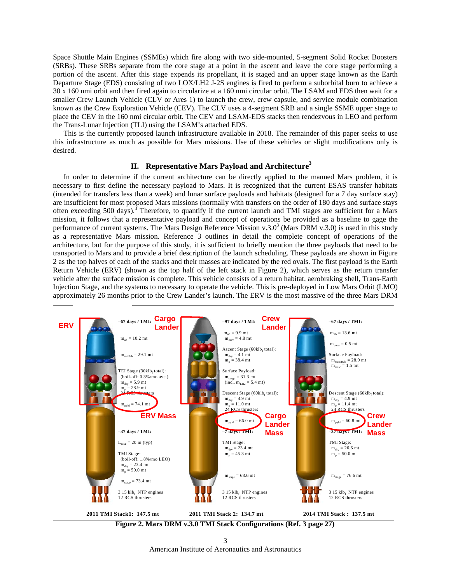Space Shuttle Main Engines (SSMEs) which fire along with two side-mounted, 5-segment Solid Rocket Boosters (SRBs). These SRBs separate from the core stage at a point in the ascent and leave the core stage performing a portion of the ascent. After this stage expends its propellant, it is staged and an upper stage known as the Earth Departure Stage (EDS) consisting of two LOX/LH2 J-2S engines is fired to perform a suborbital burn to achieve a 30 x 160 nmi orbit and then fired again to circularize at a 160 nmi circular orbit. The LSAM and EDS then wait for a smaller Crew Launch Vehicle (CLV or Ares 1) to launch the crew, crew capsule, and service module combination known as the Crew Exploration Vehicle (CEV). The CLV uses a 4-segment SRB and a single SSME upper stage to place the CEV in the 160 nmi circular orbit. The CEV and LSAM-EDS stacks then rendezvous in LEO and perform the Trans-Lunar Injection (TLI) using the LSAM's attached EDS.

 This is the currently proposed launch infrastructure available in 2018. The remainder of this paper seeks to use this infrastructure as much as possible for Mars missions. Use of these vehicles or slight modifications only is desired.

# **II. Representative Mars Payload and Architecture3**

In order to determine if the current architecture can be directly applied to the manned Mars problem, it is necessary to first define the necessary payload to Mars. It is recognized that the current ESAS transfer habitats (intended for transfers less than a week) and lunar surface payloads and habitats (designed for a 7 day surface stay) are insufficient for most proposed Mars missions (normally with transfers on the order of 180 days and surface stays often exceeding 500 days).<sup>3</sup> Therefore, to quantify if the current launch and TMI stages are sufficient for a Mars mission, it follows that a representative payload and concept of operations be provided as a baseline to gage the performance of current systems. The Mars Design Reference Mission v.3.0<sup>3</sup> (Mars DRM v.3.0) is used in this study as a representative Mars mission. Reference 3 outlines in detail the complete concept of operations of the architecture, but for the purpose of this study, it is sufficient to briefly mention the three payloads that need to be transported to Mars and to provide a brief description of the launch scheduling. These payloads are shown in Figure 2 as the top halves of each of the stacks and their masses are indicated by the red ovals. The first payload is the Earth Return Vehicle (ERV) (shown as the top half of the left stack in Figure 2), which serves as the return transfer vehicle after the surface mission is complete. This vehicle consists of a return habitat, aerobraking shell, Trans-Earth Injection Stage, and the systems to necessary to operate the vehicle. This is pre-deployed in Low Mars Orbit (LMO) approximately 26 months prior to the Crew Lander's launch. The ERV is the most massive of the three Mars DRM



American Institute of Aeronautics and Astronautics 3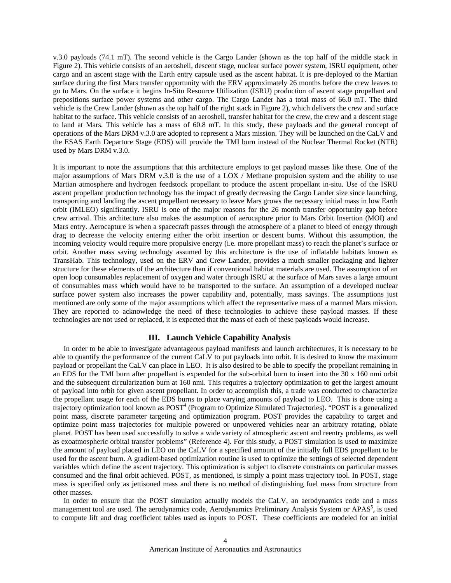v.3.0 payloads (74.1 mT). The second vehicle is the Cargo Lander (shown as the top half of the middle stack in Figure 2). This vehicle consists of an aeroshell, descent stage, nuclear surface power system, ISRU equipment, other cargo and an ascent stage with the Earth entry capsule used as the ascent habitat. It is pre-deployed to the Martian surface during the first Mars transfer opportunity with the ERV approximately 26 months before the crew leaves to go to Mars. On the surface it begins In-Situ Resource Utilization (ISRU) production of ascent stage propellant and prepositions surface power systems and other cargo. The Cargo Lander has a total mass of 66.0 mT. The third vehicle is the Crew Lander (shown as the top half of the right stack in Figure 2), which delivers the crew and surface habitat to the surface. This vehicle consists of an aeroshell, transfer habitat for the crew, the crew and a descent stage to land at Mars. This vehicle has a mass of 60.8 mT. In this study, these payloads and the general concept of operations of the Mars DRM v.3.0 are adopted to represent a Mars mission. They will be launched on the CaLV and the ESAS Earth Departure Stage (EDS) will provide the TMI burn instead of the Nuclear Thermal Rocket (NTR) used by Mars DRM v.3.0.

It is important to note the assumptions that this architecture employs to get payload masses like these. One of the major assumptions of Mars DRM v.3.0 is the use of a LOX / Methane propulsion system and the ability to use Martian atmosphere and hydrogen feedstock propellant to produce the ascent propellant in-situ. Use of the ISRU ascent propellant production technology has the impact of greatly decreasing the Cargo Lander size since launching, transporting and landing the ascent propellant necessary to leave Mars grows the necessary initial mass in low Earth orbit (IMLEO) significantly. ISRU is one of the major reasons for the 26 month transfer opportunity gap before crew arrival. This architecture also makes the assumption of aerocapture prior to Mars Orbit Insertion (MOI) and Mars entry. Aerocapture is when a spacecraft passes through the atmosphere of a planet to bleed of energy through drag to decrease the velocity entering either the orbit insertion or descent burns. Without this assumption, the incoming velocity would require more propulsive energy (i.e. more propellant mass) to reach the planet's surface or orbit. Another mass saving technology assumed by this architecture is the use of inflatable habitats known as TransHab. This technology, used on the ERV and Crew Lander, provides a much smaller packaging and lighter structure for these elements of the architecture than if conventional habitat materials are used. The assumption of an open loop consumables replacement of oxygen and water through ISRU at the surface of Mars saves a large amount of consumables mass which would have to be transported to the surface. An assumption of a developed nuclear surface power system also increases the power capability and, potentially, mass savings. The assumptions just mentioned are only some of the major assumptions which affect the representative mass of a manned Mars mission. They are reported to acknowledge the need of these technologies to achieve these payload masses. If these technologies are not used or replaced, it is expected that the mass of each of these payloads would increase.

## **III. Launch Vehicle Capability Analysis**

In order to be able to investigate advantageous payload manifests and launch architectures, it is necessary to be able to quantify the performance of the current CaLV to put payloads into orbit. It is desired to know the maximum payload or propellant the CaLV can place in LEO. It is also desired to be able to specify the propellant remaining in an EDS for the TMI burn after propellant is expended for the sub-orbital burn to insert into the 30 x 160 nmi orbit and the subsequent circularization burn at 160 nmi. This requires a trajectory optimization to get the largest amount of payload into orbit for given ascent propellant. In order to accomplish this, a trade was conducted to characterize the propellant usage for each of the EDS burns to place varying amounts of payload to LEO. This is done using a trajectory optimization tool known as POST<sup>4</sup> (Program to Optimize Simulated Trajectories). "POST is a generalized point mass, discrete parameter targeting and optimization program. POST provides the capability to target and optimize point mass trajectories for multiple powered or unpowered vehicles near an arbitrary rotating, oblate planet. POST has been used successfully to solve a wide variety of atmospheric ascent and reentry problems, as well as exoatmospheric orbital transfer problems" (Reference 4). For this study, a POST simulation is used to maximize the amount of payload placed in LEO on the CaLV for a specified amount of the initially full EDS propellant to be used for the ascent burn. A gradient-based optimization routine is used to optimize the settings of selected dependent variables which define the ascent trajectory. This optimization is subject to discrete constraints on particular masses consumed and the final orbit achieved. POST, as mentioned, is simply a point mass trajectory tool. In POST, stage mass is specified only as jettisoned mass and there is no method of distinguishing fuel mass from structure from other masses.

In order to ensure that the POST simulation actually models the CaLV, an aerodynamics code and a mass management tool are used. The aerodynamics code, Aerodynamics Preliminary Analysis System or APAS<sup>5</sup>, is used to compute lift and drag coefficient tables used as inputs to POST. These coefficients are modeled for an initial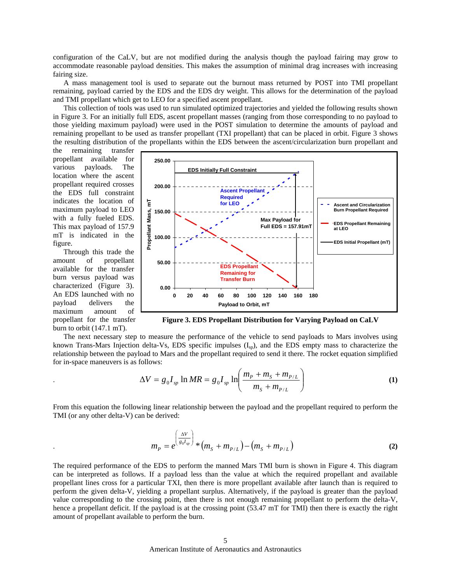configuration of the CaLV, but are not modified during the analysis though the payload fairing may grow to accommodate reasonable payload densities. This makes the assumption of minimal drag increases with increasing fairing size.

A mass management tool is used to separate out the burnout mass returned by POST into TMI propellant remaining, payload carried by the EDS and the EDS dry weight. This allows for the determination of the payload and TMI propellant which get to LEO for a specified ascent propellant.

This collection of tools was used to run simulated optimized trajectories and yielded the following results shown in Figure 3. For an initially full EDS, ascent propellant masses (ranging from those corresponding to no payload to those yielding maximum payload) were used in the POST simulation to determine the amounts of payload and remaining propellant to be used as transfer propellant (TXI propellant) that can be placed in orbit. Figure 3 shows the resulting distribution of the propellants within the EDS between the ascent/circularization burn propellant and

the remaining transfer propellant available for various payloads. The location where the ascent propellant required crosses the EDS full constraint indicates the location of maximum payload to LEO with a fully fueled EDS. This max payload of 157.9 mT is indicated in the figure.

 Through this trade the amount of propellant available for the transfer burn versus payload was characterized (Figure 3). An EDS launched with no payload delivers the maximum amount of propellant for the transfer burn to orbit (147.1 mT).



**Figure 3. EDS Propellant Distribution for Varying Payload on CaLV** 

 The next necessary step to measure the performance of the vehicle to send payloads to Mars involves using known Trans-Mars Injection delta-Vs, EDS specific impulses  $(I_{\rm sp})$ , and the EDS empty mass to characterize the relationship between the payload to Mars and the propellant required to send it there. The rocket equation simplified for in-space maneuvers is as follows:

$$
\Delta V = g_0 I_{sp} \ln MR = g_0 I_{sp} \ln \left( \frac{m_P + m_S + m_{P/L}}{m_S + m_{P/L}} \right)
$$
 (1)

From this equation the following linear relationship between the payload and the propellant required to perform the TMI (or any other delta-V) can be derived:

$$
m_{P} = e^{\left(\frac{\Delta V}{g_0 I_{sp}}\right)} * (m_{S} + m_{P/L}) - (m_{S} + m_{P/L})
$$
\n(2)

The required performance of the EDS to perform the manned Mars TMI burn is shown in Figure 4. This diagram can be interpreted as follows. If a payload less than the value at which the required propellant and available propellant lines cross for a particular TXI, then there is more propellant available after launch than is required to perform the given delta-V, yielding a propellant surplus. Alternatively, if the payload is greater than the payload value corresponding to the crossing point, then there is not enough remaining propellant to perform the delta-V, hence a propellant deficit. If the payload is at the crossing point (53.47 mT for TMI) then there is exactly the right amount of propellant available to perform the burn.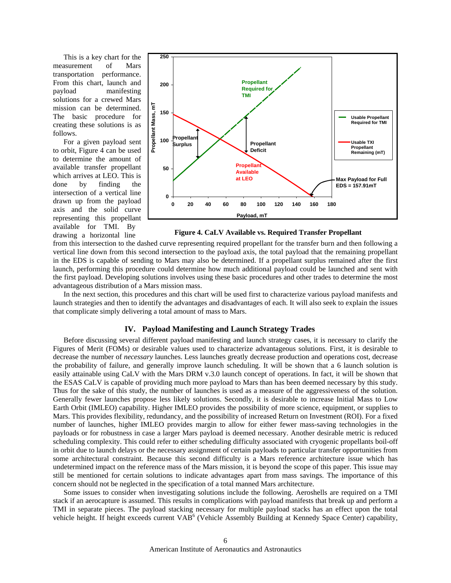This is a key chart for the measurement of Mars transportation performance. From this chart, launch and payload manifesting solutions for a crewed Mars mission can be determined. The basic procedure for creating these solutions is as follows.

 For a given payload sent to orbit, Figure 4 can be used to determine the amount of available transfer propellant which arrives at LEO. This is done by finding the intersection of a vertical line drawn up from the payload axis and the solid curve representing this propellant available for TMI. By drawing a horizontal line



**Figure 4. CaLV Available vs. Required Transfer Propellant** 

from this intersection to the dashed curve representing required propellant for the transfer burn and then following a vertical line down from this second intersection to the payload axis, the total payload that the remaining propellant in the EDS is capable of sending to Mars may also be determined. If a propellant surplus remained after the first launch, performing this procedure could determine how much additional payload could be launched and sent with the first payload. Developing solutions involves using these basic procedures and other trades to determine the most advantageous distribution of a Mars mission mass.

 In the next section, this procedures and this chart will be used first to characterize various payload manifests and launch strategies and then to identify the advantages and disadvantages of each. It will also seek to explain the issues that complicate simply delivering a total amount of mass to Mars.

#### **IV. Payload Manifesting and Launch Strategy Trades**

 Before discussing several different payload manifesting and launch strategy cases, it is necessary to clarify the Figures of Merit (FOMs) or desirable values used to characterize advantageous solutions. First, it is desirable to decrease the number of *necessary* launches. Less launches greatly decrease production and operations cost, decrease the probability of failure, and generally improve launch scheduling. It will be shown that a 6 launch solution is easily attainable using CaLV with the Mars DRM v.3.0 launch concept of operations. In fact, it will be shown that the ESAS CaLV is capable of providing much more payload to Mars than has been deemed necessary by this study. Thus for the sake of this study, the number of launches is used as a measure of the aggressiveness of the solution. Generally fewer launches propose less likely solutions. Secondly, it is desirable to increase Initial Mass to Low Earth Orbit (IMLEO) capability. Higher IMLEO provides the possibility of more science, equipment, or supplies to Mars. This provides flexibility, redundancy, and the possibility of increased Return on Investment (ROI). For a fixed number of launches, higher IMLEO provides margin to allow for either fewer mass-saving technologies in the payloads or for robustness in case a larger Mars payload is deemed necessary. Another desirable metric is reduced scheduling complexity. This could refer to either scheduling difficulty associated with cryogenic propellants boil-off in orbit due to launch delays or the necessary assignment of certain payloads to particular transfer opportunities from some architectural constraint. Because this second difficulty is a Mars reference architecture issue which has undetermined impact on the reference mass of the Mars mission, it is beyond the scope of this paper. This issue may still be mentioned for certain solutions to indicate advantages apart from mass savings. The importance of this concern should not be neglected in the specification of a total manned Mars architecture.

 Some issues to consider when investigating solutions include the following. Aeroshells are required on a TMI stack if an aerocapture is assumed. This results in complications with payload manifests that break up and perform a TMI in separate pieces. The payload stacking necessary for multiple payload stacks has an effect upon the total vehicle height. If height exceeds current VAB<sup>6</sup> (Vehicle Assembly Building at Kennedy Space Center) capability,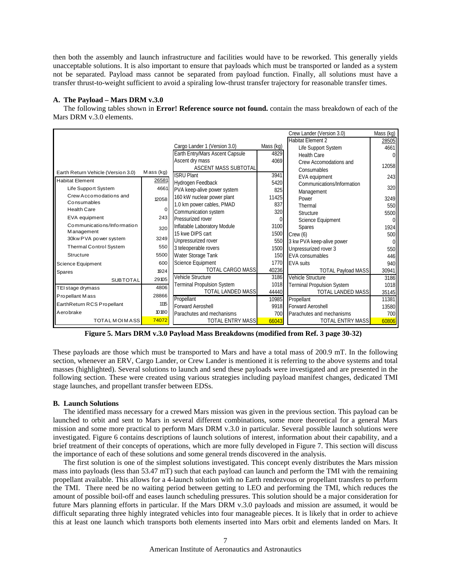then both the assembly and launch infrastructure and facilities would have to be reworked. This generally yields unacceptable solutions. It is also important to ensure that payloads which must be transported or landed as a system not be separated. Payload mass cannot be separated from payload function. Finally, all solutions must have a transfer thrust-to-weight sufficient to avoid a spiraling low-thrust transfer trajectory for reasonable transfer times.

#### **A. The Payload – Mars DRM v.3.0**

The following tables shown in **Error! Reference source not found.** contain the mass breakdown of each of the Mars DRM v.3.0 elements.

|                                       |             |                                         |           | Crew Lander (Version 3.0)         | Mass (kg) |
|---------------------------------------|-------------|-----------------------------------------|-----------|-----------------------------------|-----------|
|                                       |             |                                         |           | <b>Habitat Element 2</b>          | 28505     |
|                                       |             | Cargo Lander 1 (Version 3.0)            | Mass (kg) | Life Support System               | 4661      |
|                                       |             | 4829<br>Earth Entry/Mars Ascent Capsule |           | <b>Health Care</b>                |           |
|                                       |             | Ascent dry mass                         | 4069      | Crew Accomodations and            | 12058     |
| Earth Return Vehicle (Version 3.0)    | Mass (kg)   | ASCENT MASS SUBTOTAL                    |           | Consumables                       |           |
| <b>Habitat Element</b>                | 26581       | <b>ISRU Plant</b>                       | 3941      | EVA equipment                     | 243       |
|                                       | 4661        | Hydrogen Feedback                       | 5420      | Communications/Information        | 320       |
| Life Support System                   |             | PVA keep-alive power system             | 825       | Management                        |           |
| Crew Accomodations and<br>Consumables | 12058       | 160 kW nuclear power plant              | 11425     | Power                             | 3249      |
| <b>Health Care</b>                    | $\mathbf 0$ | 1.0 km power cables, PMAD               | 837       | Thermal                           | 550       |
|                                       | 243         | Communication system                    | 320       | <b>Structure</b>                  | 5500      |
| EVA equipment                         |             | Pressurized rover                       |           | Science Equipment                 |           |
| Communications/Information            | 320         | Inflatable Laboratory Module            | 3100      | Spares                            | 1924      |
| M anagement                           |             | 15 kwe DIPS cart                        | 1500      | Crew (6)                          | 500       |
| 30kw PVA power system                 | 3249        | Unpressurized rover                     | 550       | 3 kw PVA keep-alive power         |           |
| <b>Thermal Control System</b><br>550  |             | 3 teleoperable rovers                   | 1500      | Unpressurized rover 3             | 550       |
| <b>Structure</b>                      | 5500        | Water Storage Tank                      | 150       | <b>EVA</b> consumables            | 446       |
| Science Equipment                     | 600         | Science Equipment                       | 1770      | <b>EVA</b> suits                  | 940       |
| Spares                                | 1924        | TOTAL CARGO MASS <b>I</b>               | 40236     | <b>TOTAL Payload MASS</b>         | 30941     |
| <b>SUBTOTAL</b>                       | 29105       | Vehicle Structure                       | 3186      | Vehicle Structure                 | 3186      |
| TEI stage drymass                     | 4806        | <b>Terminal Propulsion System</b>       | 1018      | <b>Terminal Propulsion System</b> | 1018      |
| Propellant Mass                       | 28866       | <b>TOTAL LANDED MASS</b>                | 44440     | <b>TOTAL LANDED MASS</b>          | 35145     |
|                                       |             | Propellant                              | 10985     | Propellant                        | 11381     |
| EarthReturn RCS Propellant            | 1115        | <b>Forward Aeroshell</b>                | 9918      | <b>Forward Aeroshell</b>          | 13580     |
| Aerobrake                             | 10180       | Parachutes and mechanisms               | 700       | Parachutes and mechanisms         | 700       |
| <b>TOTAL MOIMASS</b>                  | 74072       | <b>TOTAL ENTRY MASS</b>                 | 66043     | <b>TOTAL ENTRY MASS</b>           | 60806     |

**Figure 5. Mars DRM v.3.0 Payload Mass Breakdowns (modified from Ref. 3 page 30-32)**

These payloads are those which must be transported to Mars and have a total mass of 200.9 mT. In the following section, whenever an ERV, Cargo Lander, or Crew Lander is mentioned it is referring to the above systems and total masses (highlighted). Several solutions to launch and send these payloads were investigated and are presented in the following section. These were created using various strategies including payload manifest changes, dedicated TMI stage launches, and propellant transfer between EDSs.

## **B. Launch Solutions**

 The identified mass necessary for a crewed Mars mission was given in the previous section. This payload can be launched to orbit and sent to Mars in several different combinations, some more theoretical for a general Mars mission and some more practical to perform Mars DRM v.3.0 in particular. Several possible launch solutions were investigated. Figure 6 contains descriptions of launch solutions of interest, information about their capability, and a brief treatment of their concepts of operations, which are more fully developed in Figure 7. This section will discuss the importance of each of these solutions and some general trends discovered in the analysis.

 The first solution is one of the simplest solutions investigated. This concept evenly distributes the Mars mission mass into payloads (less than 53.47 mT) such that each payload can launch and perform the TMI with the remaining propellant available. This allows for a 4-launch solution with no Earth rendezvous or propellant transfers to perform the TMI. There need be no waiting period between getting to LEO and performing the TMI, which reduces the amount of possible boil-off and eases launch scheduling pressures. This solution should be a major consideration for future Mars planning efforts in particular. If the Mars DRM v.3.0 payloads and mission are assumed, it would be difficult separating three highly integrated vehicles into four manageable pieces. It is likely that in order to achieve this at least one launch which transports both elements inserted into Mars orbit and elements landed on Mars. It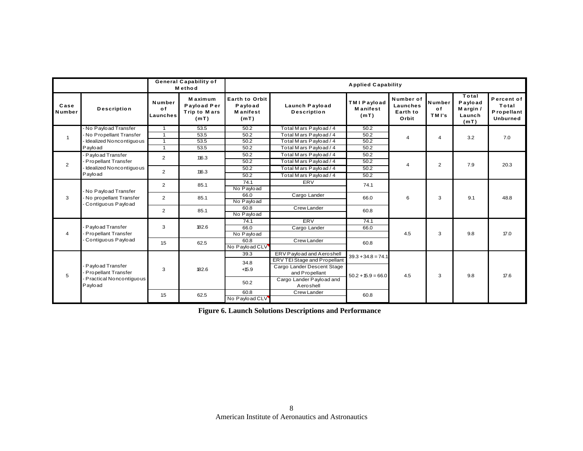|                |                                               |                          | <b>General Capability of</b><br>Method                       | <b>Applied Capability</b>                                   |                                       |                                              |                                            |                       |                                                |                                               |  |
|----------------|-----------------------------------------------|--------------------------|--------------------------------------------------------------|-------------------------------------------------------------|---------------------------------------|----------------------------------------------|--------------------------------------------|-----------------------|------------------------------------------------|-----------------------------------------------|--|
| Case<br>Number | Description                                   | Number<br>of<br>Launches | <b>Maximum</b><br>Payload Per<br><b>Trip to Mars</b><br>(mT) | <b>Earth to Orbit</b><br>Payload<br><b>Manifest</b><br>(mT) | Launch Payload<br>Description         | <b>TMIPayload</b><br><b>Manifest</b><br>(mT) | Number of<br>Launches<br>Earth to<br>Orbit | Number<br>of<br>TMI's | Total<br>Payload<br>Margin /<br>Launch<br>(mT) | Percent of<br>Total<br>Propellant<br>Unburned |  |
|                | - No Payload Transfer                         | $\mathbf{1}$             | 53.5                                                         | 50.2                                                        | Total Mars Payload / 4                | 50.2                                         | 4                                          | 4                     | 3.2                                            | 7.0                                           |  |
|                | No Propellant Transfer                        | $\overline{1}$           | 53.5                                                         | 50.2                                                        | Total Mars Payload / 4                | 50.2                                         |                                            |                       |                                                |                                               |  |
|                | Idealized Noncontiguous                       | $\mathbf{1}$             | 53.5                                                         | 50.2                                                        | Total Mars Payload / 4                | 50.2                                         |                                            |                       |                                                |                                               |  |
|                | Payload                                       | $\mathbf{1}$             | 53.5                                                         | 50.2                                                        | Total Mars Payload / 4                | 50.2                                         |                                            |                       |                                                |                                               |  |
|                | Payload Transfer                              | $\overline{2}$           |                                                              | 50.2                                                        | Total Mars Payload / 4                | 50.2                                         |                                            | 2                     | 7.9                                            |                                               |  |
|                | Propellant Transfer                           |                          | 116.3                                                        | 50.2                                                        | Total Mars Payload / 4                | 50.2                                         |                                            |                       |                                                |                                               |  |
| $\overline{2}$ | Idealized Noncontiguous<br>Payload            |                          |                                                              | 50.2                                                        | Total Mars Payload / 4                | 50.2                                         | 4                                          |                       |                                                | 20.3                                          |  |
|                |                                               | 2                        | 116.3                                                        | 50.2                                                        | Total Mars Payload / 4                | 50.2                                         |                                            |                       |                                                |                                               |  |
|                |                                               |                          |                                                              | 74.1                                                        | ERV                                   | 74.1<br>66.0                                 | 6                                          | 3                     | 9.1                                            | 48.8                                          |  |
|                |                                               | $\overline{2}$           | 85.1                                                         | No Payload                                                  |                                       |                                              |                                            |                       |                                                |                                               |  |
|                | No Payload Transfer<br>No propellant Transfer | $\overline{2}$           | 85.1                                                         | 66.0                                                        | Cargo Lander                          |                                              |                                            |                       |                                                |                                               |  |
| 3              |                                               |                          |                                                              | No Payload                                                  |                                       |                                              |                                            |                       |                                                |                                               |  |
|                | Contiguous Payload                            | $\overline{2}$           | 85.1                                                         | 60.8                                                        | Crew Lander                           | 60.8                                         |                                            |                       |                                                |                                               |  |
|                |                                               |                          |                                                              | No Payload                                                  |                                       |                                              |                                            |                       |                                                |                                               |  |
|                |                                               |                          | 182.6                                                        | 74.1                                                        | <b>ERV</b>                            | 74.1                                         |                                            | 3                     | 9.8                                            | 17.0                                          |  |
|                | Payload Transfer                              | 3                        |                                                              | 66.0                                                        | Cargo Lander                          | 66.0                                         | 4.5                                        |                       |                                                |                                               |  |
| 4              | Propellant Transfer                           |                          |                                                              | No Payload                                                  |                                       |                                              |                                            |                       |                                                |                                               |  |
|                | Contiguous Payload                            | 1.5                      | 62.5                                                         | 60.8                                                        | Crew Lander                           | 60.8                                         |                                            |                       |                                                |                                               |  |
|                |                                               |                          |                                                              | No Payload CLV                                              |                                       |                                              |                                            |                       |                                                |                                               |  |
|                |                                               |                          |                                                              | 39.3                                                        | ERV Payload and Aeroshell             | $39.3 + 34.8 = 74.1$                         | 4.5                                        | 3                     | 9.8                                            | 17.6                                          |  |
|                |                                               |                          | 182.6                                                        | 34.8                                                        | ERV TEI Stage and Propellant          |                                              |                                            |                       |                                                |                                               |  |
| 5              | Payload Transfer<br>Propellant Transfer       | 3                        |                                                              | $+15.9$                                                     | Cargo Lander Descent Stage            | $50.2 + 15.9 = 66.0$                         |                                            |                       |                                                |                                               |  |
|                |                                               |                          |                                                              |                                                             | and Propellant                        |                                              |                                            |                       |                                                |                                               |  |
|                | Practical Noncontiguous<br>Payload            |                          |                                                              | 50.2                                                        | Cargo Lander Payload and<br>Aeroshell |                                              |                                            |                       |                                                |                                               |  |
|                |                                               | 1.5                      | 62.5                                                         | 60.8                                                        | Crew Lander                           | 60.8                                         |                                            |                       |                                                |                                               |  |
|                |                                               |                          |                                                              | No Payload CLV                                              |                                       |                                              |                                            |                       |                                                |                                               |  |

**Figure 6. Launch Solutions Descriptions and Performance**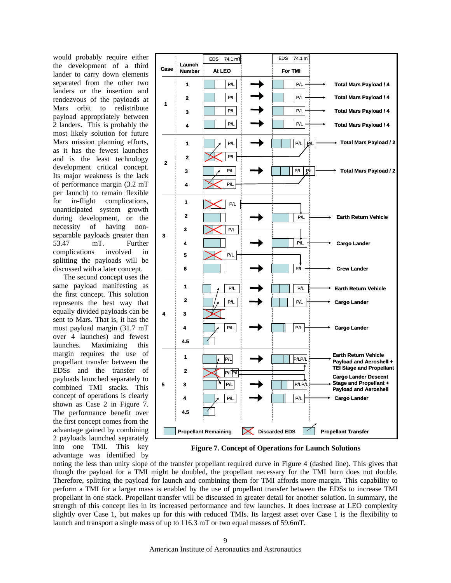would probably require either the development of a third lander to carry down elements separated from the other two landers *or* the insertion and rendezvous of the payloads at Mars orbit to redistribute payload appropriately between 2 landers. This is probably the most likely solution for future Mars mission planning efforts, as it has the fewest launches and is the least technology development critical concept. Its major weakness is the lack of performance margin (3.2 mT per launch) to remain flexible for in-flight complications, unanticipated system growth during development, or the necessity of having nonseparable payloads greater than 53.47 mT. Further complications involved in splitting the payloads will be discussed with a later concept.

The second concept uses the same payload manifesting as the first concept. This solution represents the best way that equally divided payloads can be sent to Mars. That is, it has the most payload margin (31.7 mT over 4 launches) and fewest launches. Maximizing this margin requires the use of propellant transfer between the EDSs and the transfer of payloads launched separately to combined TMI stacks. This concept of operations is clearly shown as Case 2 in Figure 7. The performance benefit over the first concept comes from the advantage gained by combining 2 payloads launched separately into one TMI. This key advantage was identified by



**Figure 7. Concept of Operations for Launch Solutions** 

noting the less than unity slope of the transfer propellant required curve in Figure 4 (dashed line). This gives that though the payload for a TMI might be doubled, the propellant necessary for the TMI burn does not double. Therefore, splitting the payload for launch and combining them for TMI affords more margin. This capability to perform a TMI for a larger mass is enabled by the use of propellant transfer between the EDSs to increase TMI propellant in one stack. Propellant transfer will be discussed in greater detail for another solution. In summary, the strength of this concept lies in its increased performance and few launches. It does increase at LEO complexity slightly over Case 1, but makes up for this with reduced TMIs. Its largest asset over Case 1 is the flexibility to launch and transport a single mass of up to 116.3 mT or two equal masses of 59.6mT.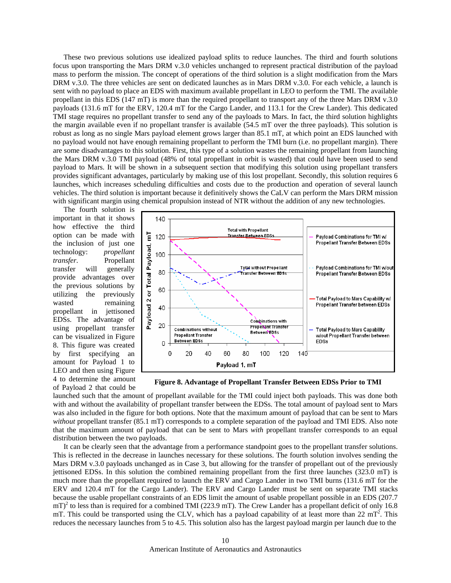These two previous solutions use idealized payload splits to reduce launches. The third and fourth solutions focus upon transporting the Mars DRM v.3.0 vehicles unchanged to represent practical distribution of the payload mass to perform the mission. The concept of operations of the third solution is a slight modification from the Mars DRM v.3.0. The three vehicles are sent on dedicated launches as in Mars DRM v.3.0. For each vehicle, a launch is sent with no payload to place an EDS with maximum available propellant in LEO to perform the TMI. The available propellant in this EDS (147 mT) is more than the required propellant to transport any of the three Mars DRM v.3.0 payloads (131.6 mT for the ERV, 120.4 mT for the Cargo Lander, and 113.1 for the Crew Lander). This dedicated TMI stage requires no propellant transfer to send any of the payloads to Mars. In fact, the third solution highlights the margin available even if no propellant transfer is available (54.5 mT over the three payloads). This solution is robust as long as no single Mars payload element grows larger than 85.1 mT, at which point an EDS launched with no payload would not have enough remaining propellant to perform the TMI burn (i.e. no propellant margin). There are some disadvantages to this solution. First, this type of a solution wastes the remaining propellant from launching the Mars DRM v.3.0 TMI payload (48% of total propellant in orbit is wasted) that could have been used to send payload to Mars. It will be shown in a subsequent section that modifying this solution using propellant transfers provides significant advantages, particularly by making use of this lost propellant. Secondly, this solution requires 6 launches, which increases scheduling difficulties and costs due to the production and operation of several launch vehicles. The third solution is important because it definitively shows the CaLV can perform the Mars DRM mission with significant margin using chemical propulsion instead of NTR without the addition of any new technologies.

The fourth solution is important in that it shows how effective the third option can be made with the inclusion of just one technology: *propellant transfer*. Propellant transfer will generally provide advantages over the previous solutions by utilizing the previously wasted remaining propellant in jettisoned EDSs. The advantage of using propellant transfer can be visualized in Figure 8. This figure was created by first specifying an amount for Payload 1 to LEO and then using Figure 4 to determine the amount of Payload 2 that could be



**Figure 8. Advantage of Propellant Transfer Between EDSs Prior to TMI** 

launched such that the amount of propellant available for the TMI could inject both payloads. This was done both with and without the availability of propellant transfer between the EDSs. The total amount of payload sent to Mars was also included in the figure for both options. Note that the maximum amount of payload that can be sent to Mars *without* propellant transfer (85.1 mT) corresponds to a complete separation of the payload and TMI EDS. Also note that the maximum amount of payload that can be sent to Mars *with* propellant transfer corresponds to an equal distribution between the two payloads.

It can be clearly seen that the advantage from a performance standpoint goes to the propellant transfer solutions. This is reflected in the decrease in launches necessary for these solutions. The fourth solution involves sending the Mars DRM v.3.0 payloads unchanged as in Case 3, but allowing for the transfer of propellant out of the previously jettisoned EDSs. In this solution the combined remaining propellant from the first three launches (323.0 mT) is much more than the propellant required to launch the ERV and Cargo Lander in two TMI burns (131.6 mT for the ERV and 120.4 mT for the Cargo Lander). The ERV and Cargo Lander must be sent on separate TMI stacks because the usable propellant constraints of an EDS limit the amount of usable propellant possible in an EDS (207.7 mT)<sup>2</sup> to less than is required for a combined TMI (223.9 mT). The Crew Lander has a propellant deficit of only 16.8 mT. This could be transported using the CLV, which has a payload capability of at least more than 22 mT<sup>2</sup>. This reduces the necessary launches from 5 to 4.5. This solution also has the largest payload margin per launch due to the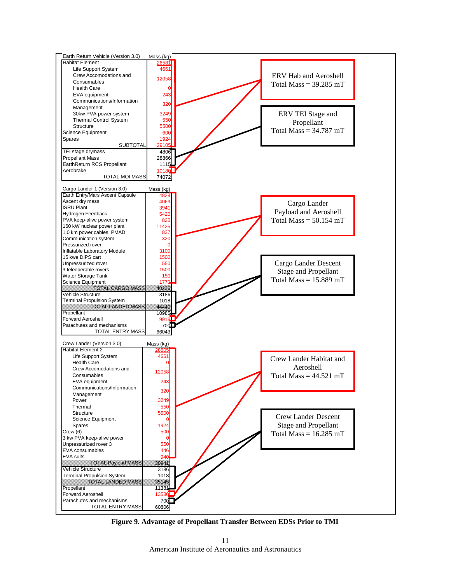

**Figure 9. Advantage of Propellant Transfer Between EDSs Prior to TMI**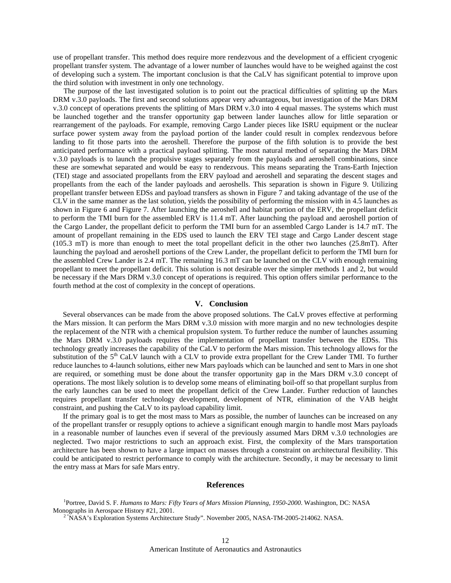use of propellant transfer. This method does require more rendezvous and the development of a efficient cryogenic propellant transfer system. The advantage of a lower number of launches would have to be weighed against the cost of developing such a system. The important conclusion is that the CaLV has significant potential to improve upon the third solution with investment in only one technology.

The purpose of the last investigated solution is to point out the practical difficulties of splitting up the Mars DRM v.3.0 payloads. The first and second solutions appear very advantageous, but investigation of the Mars DRM v.3.0 concept of operations prevents the splitting of Mars DRM v.3.0 into 4 equal masses. The systems which must be launched together and the transfer opportunity gap between lander launches allow for little separation or rearrangement of the payloads. For example, removing Cargo Lander pieces like ISRU equipment or the nuclear surface power system away from the payload portion of the lander could result in complex rendezvous before landing to fit those parts into the aeroshell. Therefore the purpose of the fifth solution is to provide the best anticipated performance with a practical payload splitting. The most natural method of separating the Mars DRM v.3.0 payloads is to launch the propulsive stages separately from the payloads and aeroshell combinations, since these are somewhat separated and would be easy to rendezvous. This means separating the Trans-Earth Injection (TEI) stage and associated propellants from the ERV payload and aeroshell and separating the descent stages and propellants from the each of the lander payloads and aeroshells. This separation is shown in Figure 9. Utilizing propellant transfer between EDSs and payload transfers as shown in Figure 7 and taking advantage of the use of the CLV in the same manner as the last solution, yields the possibility of performing the mission with in 4.5 launches as shown in Figure 6 and Figure 7. After launching the aeroshell and habitat portion of the ERV, the propellant deficit to perform the TMI burn for the assembled ERV is 11.4 mT. After launching the payload and aeroshell portion of the Cargo Lander, the propellant deficit to perform the TMI burn for an assembled Cargo Lander is 14.7 mT. The amount of propellant remaining in the EDS used to launch the ERV TEI stage and Cargo Lander descent stage (105.3 mT) is more than enough to meet the total propellant deficit in the other two launches (25.8mT). After launching the payload and aeroshell portions of the Crew Lander, the propellant deficit to perform the TMI burn for the assembled Crew Lander is 2.4 mT. The remaining 16.3 mT can be launched on the CLV with enough remaining propellant to meet the propellant deficit. This solution is not desirable over the simpler methods 1 and 2, but would be necessary if the Mars DRM v.3.0 concept of operations is required. This option offers similar performance to the fourth method at the cost of complexity in the concept of operations.

#### **V. Conclusion**

 Several observances can be made from the above proposed solutions. The CaLV proves effective at performing the Mars mission. It can perform the Mars DRM v.3.0 mission with more margin and no new technologies despite the replacement of the NTR with a chemical propulsion system. To further reduce the number of launches assuming the Mars DRM v.3.0 payloads requires the implementation of propellant transfer between the EDSs. This technology greatly increases the capability of the CaLV to perform the Mars mission. This technology allows for the substitution of the 5<sup>th</sup> CaLV launch with a CLV to provide extra propellant for the Crew Lander TMI. To further reduce launches to 4-launch solutions, either new Mars payloads which can be launched and sent to Mars in one shot are required, or something must be done about the transfer opportunity gap in the Mars DRM v.3.0 concept of operations. The most likely solution is to develop some means of eliminating boil-off so that propellant surplus from the early launches can be used to meet the propellant deficit of the Crew Lander. Further reduction of launches requires propellant transfer technology development, development of NTR, elimination of the VAB height constraint, and pushing the CaLV to its payload capability limit.

 If the primary goal is to get the most mass to Mars as possible, the number of launches can be increased on any of the propellant transfer or resupply options to achieve a significant enough margin to handle most Mars payloads in a reasonable number of launches even if several of the previously assumed Mars DRM v.3.0 technologies are neglected. Two major restrictions to such an approach exist. First, the complexity of the Mars transportation architecture has been shown to have a large impact on masses through a constraint on architectural flexibility. This could be anticipated to restrict performance to comply with the architecture. Secondly, it may be necessary to limit the entry mass at Mars for safe Mars entry.

## **References**

 1Portree, David S. F. *Humans to Mars: Fifty Years of Mars Mission Planning, 1950-2000*. Washington, DC: NASA Monographs in Aerospace History #21, 2001.

<sup>2</sup> "NASA's Exploration Systems Architecture Study". November 2005, NASA-TM-2005-214062. NASA.